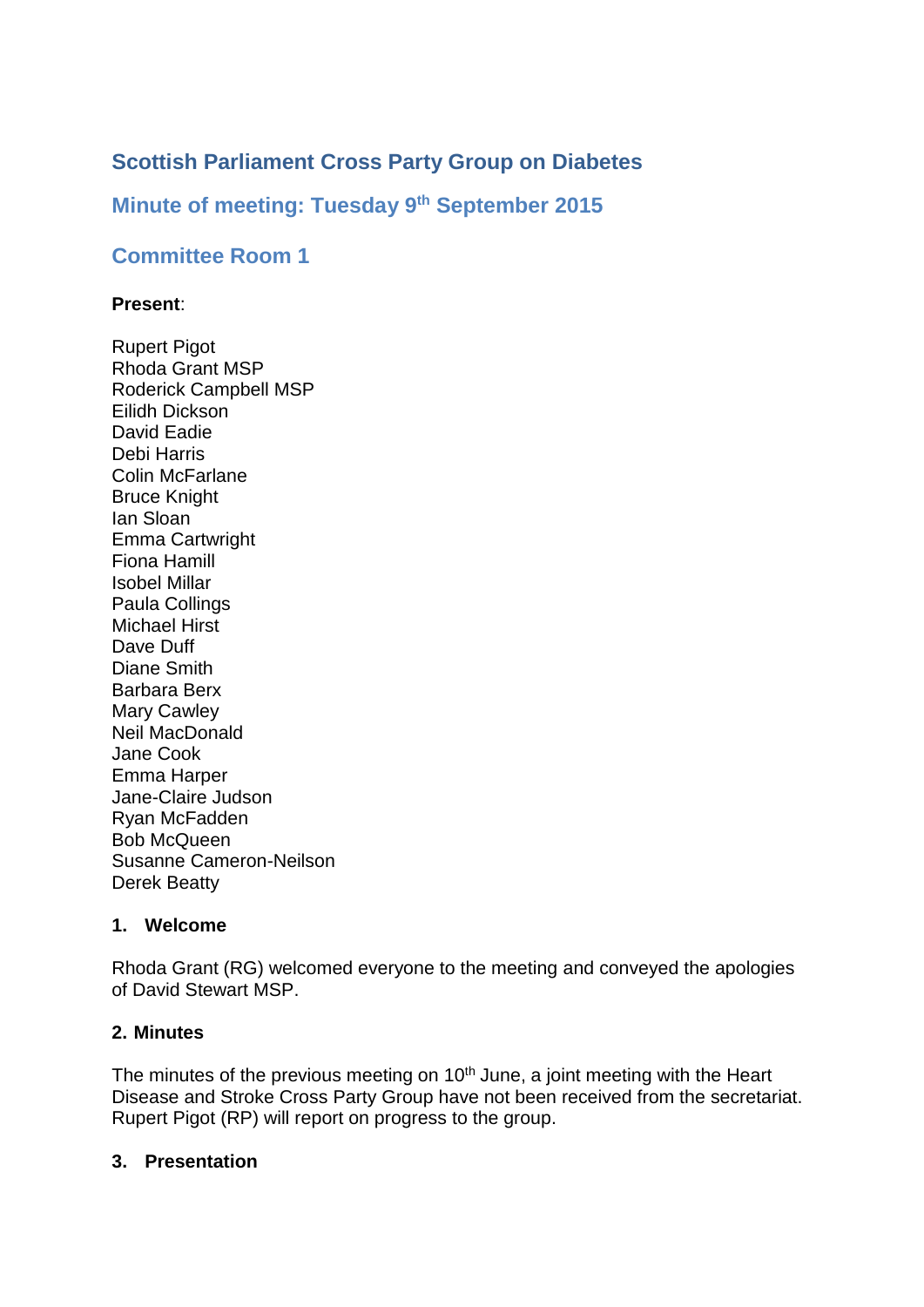# **Scottish Parliament Cross Party Group on Diabetes**

# **Minute of meeting: Tuesday 9 th September 2015**

# **Committee Room 1**

#### **Present**:

Rupert Pigot Rhoda Grant MSP Roderick Campbell MSP Eilidh Dickson David Eadie Debi Harris Colin McFarlane Bruce Knight Ian Sloan Emma Cartwright Fiona Hamill Isobel Millar Paula Collings Michael Hirst Dave Duff Diane Smith Barbara Berx Mary Cawley Neil MacDonald Jane Cook Emma Harper Jane-Claire Judson Ryan McFadden Bob McQueen Susanne Cameron-Neilson Derek Beatty

### **1. Welcome**

Rhoda Grant (RG) welcomed everyone to the meeting and conveyed the apologies of David Stewart MSP.

### **2. Minutes**

The minutes of the previous meeting on 10<sup>th</sup> June, a joint meeting with the Heart Disease and Stroke Cross Party Group have not been received from the secretariat. Rupert Pigot (RP) will report on progress to the group.

#### **3. Presentation**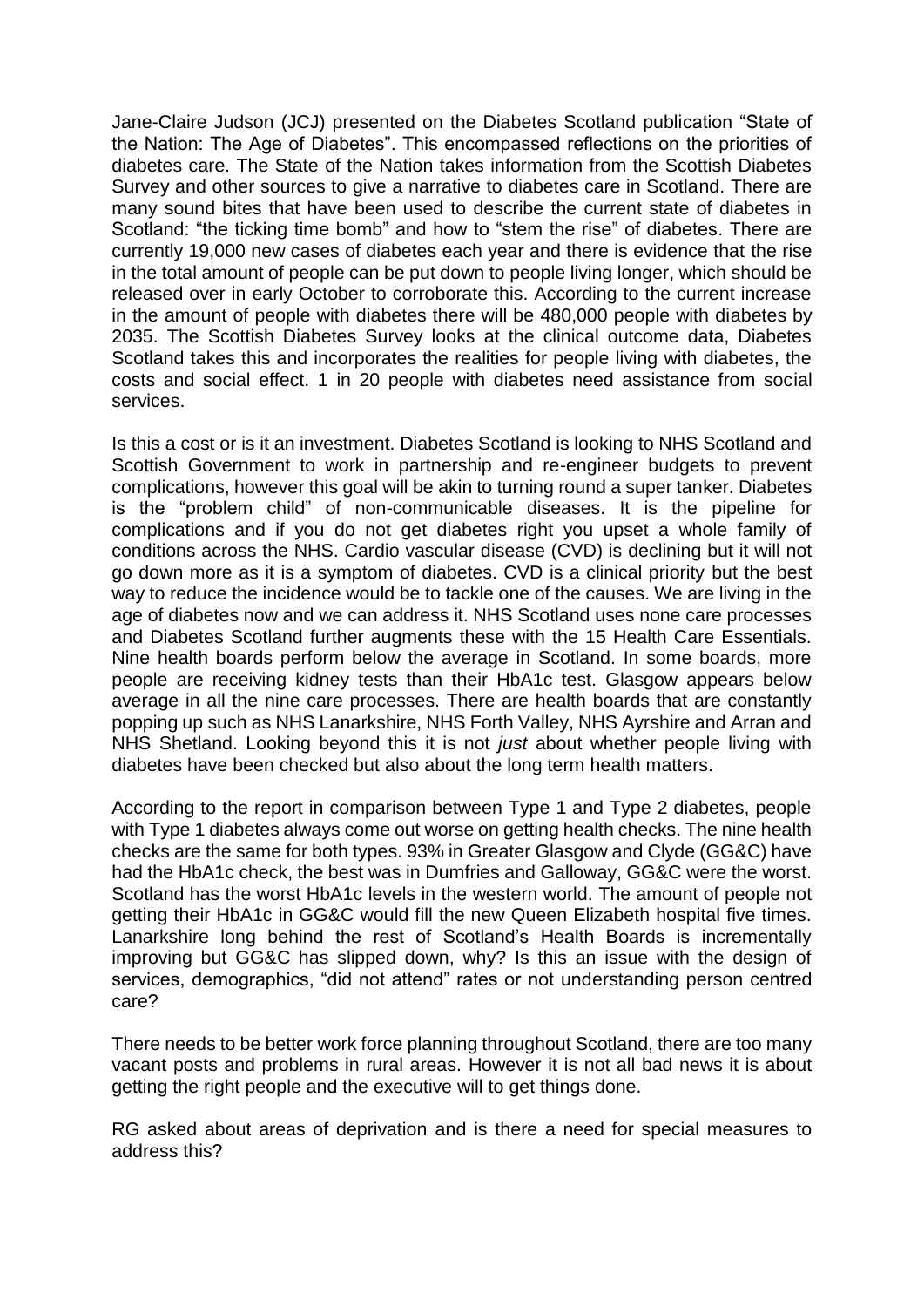Jane-Claire Judson (JCJ) presented on the Diabetes Scotland publication "State of the Nation: The Age of Diabetes". This encompassed reflections on the priorities of diabetes care. The State of the Nation takes information from the Scottish Diabetes Survey and other sources to give a narrative to diabetes care in Scotland. There are many sound bites that have been used to describe the current state of diabetes in Scotland: "the ticking time bomb" and how to "stem the rise" of diabetes. There are currently 19,000 new cases of diabetes each year and there is evidence that the rise in the total amount of people can be put down to people living longer, which should be released over in early October to corroborate this. According to the current increase in the amount of people with diabetes there will be 480,000 people with diabetes by 2035. The Scottish Diabetes Survey looks at the clinical outcome data, Diabetes Scotland takes this and incorporates the realities for people living with diabetes, the costs and social effect. 1 in 20 people with diabetes need assistance from social services.

Is this a cost or is it an investment. Diabetes Scotland is looking to NHS Scotland and Scottish Government to work in partnership and re-engineer budgets to prevent complications, however this goal will be akin to turning round a super tanker. Diabetes is the "problem child" of non-communicable diseases. It is the pipeline for complications and if you do not get diabetes right you upset a whole family of conditions across the NHS. Cardio vascular disease (CVD) is declining but it will not go down more as it is a symptom of diabetes. CVD is a clinical priority but the best way to reduce the incidence would be to tackle one of the causes. We are living in the age of diabetes now and we can address it. NHS Scotland uses none care processes and Diabetes Scotland further augments these with the 15 Health Care Essentials. Nine health boards perform below the average in Scotland. In some boards, more people are receiving kidney tests than their HbA1c test. Glasgow appears below average in all the nine care processes. There are health boards that are constantly popping up such as NHS Lanarkshire, NHS Forth Valley, NHS Ayrshire and Arran and NHS Shetland. Looking beyond this it is not *just* about whether people living with diabetes have been checked but also about the long term health matters.

According to the report in comparison between Type 1 and Type 2 diabetes, people with Type 1 diabetes always come out worse on getting health checks. The nine health checks are the same for both types. 93% in Greater Glasgow and Clyde (GG&C) have had the HbA1c check, the best was in Dumfries and Galloway, GG&C were the worst. Scotland has the worst HbA1c levels in the western world. The amount of people not getting their HbA1c in GG&C would fill the new Queen Elizabeth hospital five times. Lanarkshire long behind the rest of Scotland's Health Boards is incrementally improving but GG&C has slipped down, why? Is this an issue with the design of services, demographics, "did not attend" rates or not understanding person centred care?

There needs to be better work force planning throughout Scotland, there are too many vacant posts and problems in rural areas. However it is not all bad news it is about getting the right people and the executive will to get things done.

RG asked about areas of deprivation and is there a need for special measures to address this?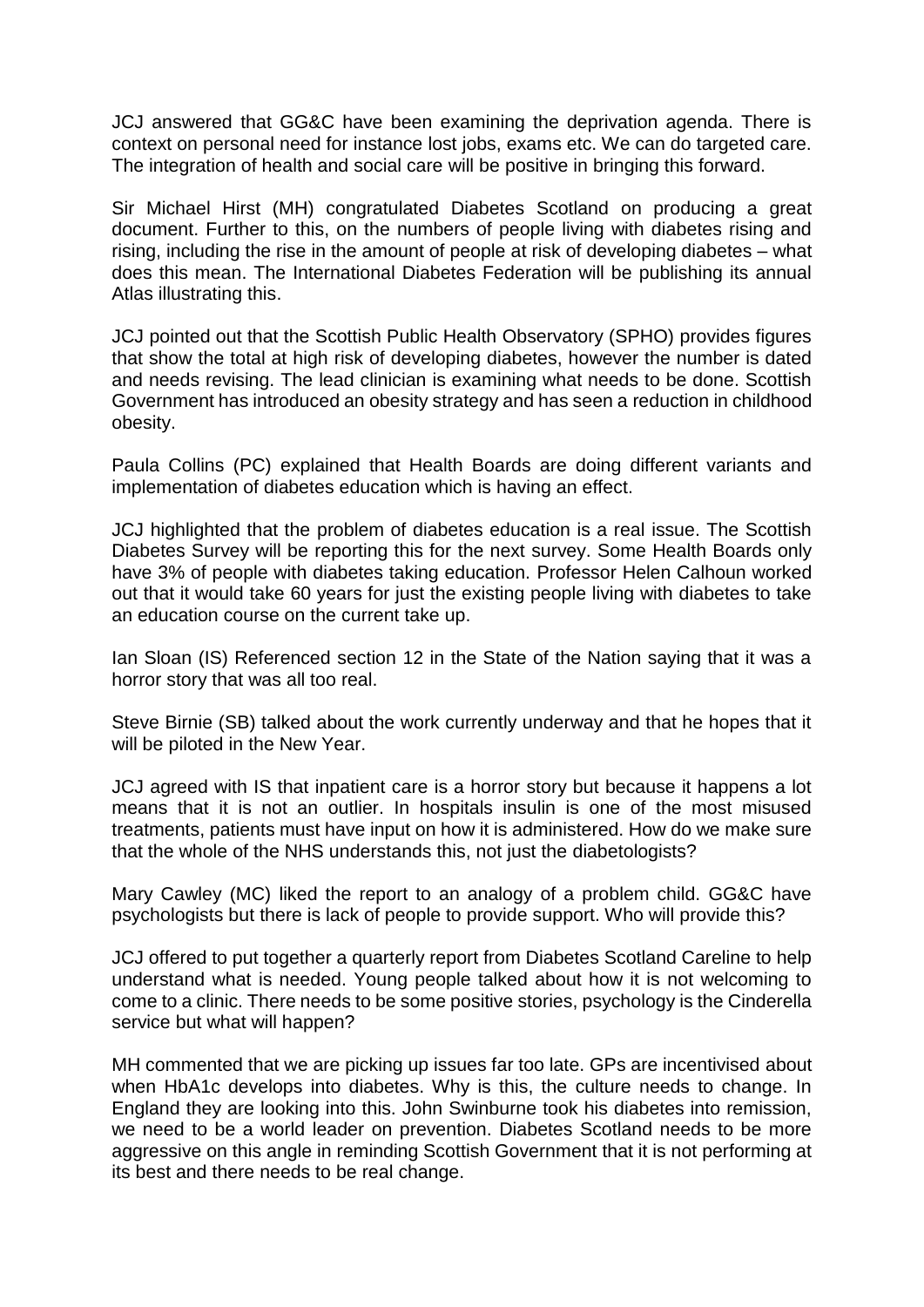JCJ answered that GG&C have been examining the deprivation agenda. There is context on personal need for instance lost jobs, exams etc. We can do targeted care. The integration of health and social care will be positive in bringing this forward.

Sir Michael Hirst (MH) congratulated Diabetes Scotland on producing a great document. Further to this, on the numbers of people living with diabetes rising and rising, including the rise in the amount of people at risk of developing diabetes – what does this mean. The International Diabetes Federation will be publishing its annual Atlas illustrating this.

JCJ pointed out that the Scottish Public Health Observatory (SPHO) provides figures that show the total at high risk of developing diabetes, however the number is dated and needs revising. The lead clinician is examining what needs to be done. Scottish Government has introduced an obesity strategy and has seen a reduction in childhood obesity.

Paula Collins (PC) explained that Health Boards are doing different variants and implementation of diabetes education which is having an effect.

JCJ highlighted that the problem of diabetes education is a real issue. The Scottish Diabetes Survey will be reporting this for the next survey. Some Health Boards only have 3% of people with diabetes taking education. Professor Helen Calhoun worked out that it would take 60 years for just the existing people living with diabetes to take an education course on the current take up.

Ian Sloan (IS) Referenced section 12 in the State of the Nation saying that it was a horror story that was all too real.

Steve Birnie (SB) talked about the work currently underway and that he hopes that it will be piloted in the New Year.

JCJ agreed with IS that inpatient care is a horror story but because it happens a lot means that it is not an outlier. In hospitals insulin is one of the most misused treatments, patients must have input on how it is administered. How do we make sure that the whole of the NHS understands this, not just the diabetologists?

Mary Cawley (MC) liked the report to an analogy of a problem child. GG&C have psychologists but there is lack of people to provide support. Who will provide this?

JCJ offered to put together a quarterly report from Diabetes Scotland Careline to help understand what is needed. Young people talked about how it is not welcoming to come to a clinic. There needs to be some positive stories, psychology is the Cinderella service but what will happen?

MH commented that we are picking up issues far too late. GPs are incentivised about when HbA1c develops into diabetes. Why is this, the culture needs to change. In England they are looking into this. John Swinburne took his diabetes into remission, we need to be a world leader on prevention. Diabetes Scotland needs to be more aggressive on this angle in reminding Scottish Government that it is not performing at its best and there needs to be real change.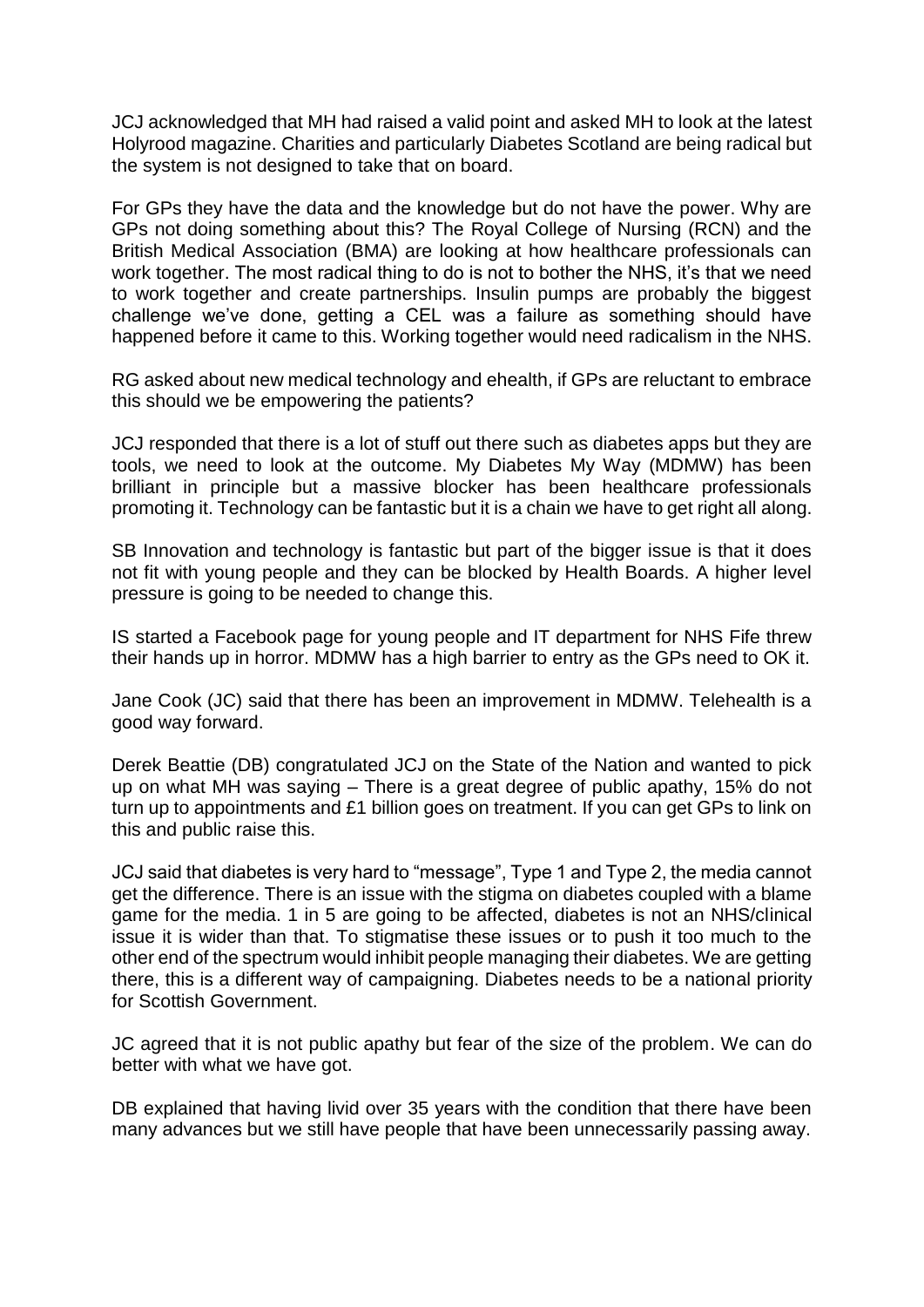JCJ acknowledged that MH had raised a valid point and asked MH to look at the latest Holyrood magazine. Charities and particularly Diabetes Scotland are being radical but the system is not designed to take that on board.

For GPs they have the data and the knowledge but do not have the power. Why are GPs not doing something about this? The Royal College of Nursing (RCN) and the British Medical Association (BMA) are looking at how healthcare professionals can work together. The most radical thing to do is not to bother the NHS, it's that we need to work together and create partnerships. Insulin pumps are probably the biggest challenge we've done, getting a CEL was a failure as something should have happened before it came to this. Working together would need radicalism in the NHS.

RG asked about new medical technology and ehealth, if GPs are reluctant to embrace this should we be empowering the patients?

JCJ responded that there is a lot of stuff out there such as diabetes apps but they are tools, we need to look at the outcome. My Diabetes My Way (MDMW) has been brilliant in principle but a massive blocker has been healthcare professionals promoting it. Technology can be fantastic but it is a chain we have to get right all along.

SB Innovation and technology is fantastic but part of the bigger issue is that it does not fit with young people and they can be blocked by Health Boards. A higher level pressure is going to be needed to change this.

IS started a Facebook page for young people and IT department for NHS Fife threw their hands up in horror. MDMW has a high barrier to entry as the GPs need to OK it.

Jane Cook (JC) said that there has been an improvement in MDMW. Telehealth is a good way forward.

Derek Beattie (DB) congratulated JCJ on the State of the Nation and wanted to pick up on what MH was saying – There is a great degree of public apathy, 15% do not turn up to appointments and £1 billion goes on treatment. If you can get GPs to link on this and public raise this.

JCJ said that diabetes is very hard to "message", Type 1 and Type 2, the media cannot get the difference. There is an issue with the stigma on diabetes coupled with a blame game for the media. 1 in 5 are going to be affected, diabetes is not an NHS/clinical issue it is wider than that. To stigmatise these issues or to push it too much to the other end of the spectrum would inhibit people managing their diabetes. We are getting there, this is a different way of campaigning. Diabetes needs to be a national priority for Scottish Government.

JC agreed that it is not public apathy but fear of the size of the problem. We can do better with what we have got.

DB explained that having livid over 35 years with the condition that there have been many advances but we still have people that have been unnecessarily passing away.